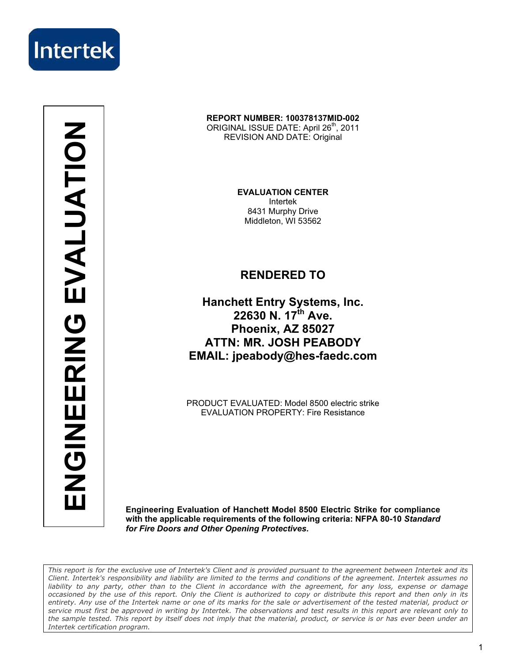

**ENGINEERING EVALUATION** ENGINEERING EVALUATION

#### **REPORT NUMBER: 100378137MID-002**  ORIGINAL ISSUE DATE: April 26<sup>th</sup>, 2011 REVISION AND DATE: Original

**EVALUATION CENTER**  Intertek 8431 Murphy Drive Middleton, WI 53562

### **RENDERED TO**

**Hanchett Entry Systems, Inc. 22630 N. 17th Ave. Phoenix, AZ 85027 ATTN: MR. JOSH PEABODY EMAIL: jpeabody@hes-faedc.com** 

PRODUCT EVALUATED: Model 8500 electric strike EVALUATION PROPERTY: Fire Resistance

**Engineering Evaluation of Hanchett Model 8500 Electric Strike for compliance with the applicable requirements of the following criteria: NFPA 80-10** *Standard for Fire Doors and Other Opening Protectives.*

*This report is for the exclusive use of Intertek's Client and is provided pursuant to the agreement between Intertek and its Client. Intertek's responsibility and liability are limited to the terms and conditions of the agreement. Intertek assumes no liability to any party, other than to the Client in accordance with the agreement, for any loss, expense or damage occasioned by the use of this report. Only the Client is authorized to copy or distribute this report and then only in its entirety. Any use of the Intertek name or one of its marks for the sale or advertisement of the tested material, product or service must first be approved in writing by Intertek. The observations and test results in this report are relevant only to the sample tested. This report by itself does not imply that the material, product, or service is or has ever been under an Intertek certification program.*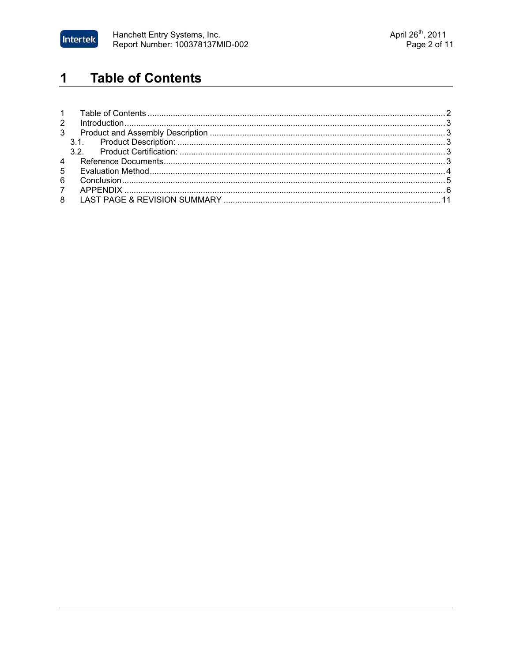

#### **Table of Contents**  $\overline{\mathbf{1}}$

| $7^{\circ}$ |  |  |  |
|-------------|--|--|--|
|             |  |  |  |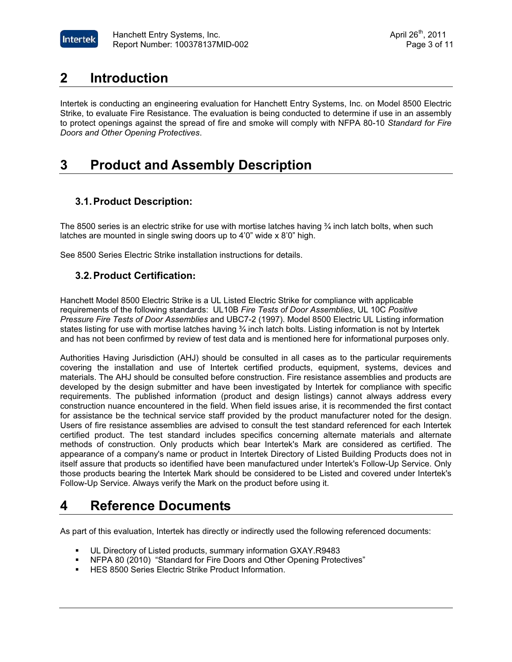

### **2 Introduction**

Intertek is conducting an engineering evaluation for Hanchett Entry Systems, Inc. on Model 8500 Electric Strike, to evaluate Fire Resistance. The evaluation is being conducted to determine if use in an assembly to protect openings against the spread of fire and smoke will comply with NFPA 80-10 *Standard for Fire Doors and Other Opening Protectives*.

## **3 Product and Assembly Description**

### **3.1.Product Description:**

The 8500 series is an electric strike for use with mortise latches having  $\frac{3}{4}$  inch latch bolts, when such latches are mounted in single swing doors up to 4'0" wide x 8'0" high.

See 8500 Series Electric Strike installation instructions for details.

#### **3.2.Product Certification:**

Hanchett Model 8500 Electric Strike is a UL Listed Electric Strike for compliance with applicable requirements of the following standards: UL10B *Fire Tests of Door Assemblies*, UL 10C *Positive Pressure Fire Tests of Door Assemblies* and UBC7-2 (1997). Model 8500 Electric UL Listing information states listing for use with mortise latches having ¾ inch latch bolts. Listing information is not by Intertek and has not been confirmed by review of test data and is mentioned here for informational purposes only.

Authorities Having Jurisdiction (AHJ) should be consulted in all cases as to the particular requirements covering the installation and use of Intertek certified products, equipment, systems, devices and materials. The AHJ should be consulted before construction. Fire resistance assemblies and products are developed by the design submitter and have been investigated by Intertek for compliance with specific requirements. The published information (product and design listings) cannot always address every construction nuance encountered in the field. When field issues arise, it is recommended the first contact for assistance be the technical service staff provided by the product manufacturer noted for the design. Users of fire resistance assemblies are advised to consult the test standard referenced for each Intertek certified product. The test standard includes specifics concerning alternate materials and alternate methods of construction. Only products which bear Intertek's Mark are considered as certified. The appearance of a company's name or product in Intertek Directory of Listed Building Products does not in itself assure that products so identified have been manufactured under Intertek's Follow-Up Service. Only those products bearing the Intertek Mark should be considered to be Listed and covered under Intertek's Follow-Up Service. Always verify the Mark on the product before using it.

### **4 Reference Documents**

As part of this evaluation, Intertek has directly or indirectly used the following referenced documents:

- -UL Directory of Listed products, summary information GXAY.R9483
- -NFPA 80 (2010) "Standard for Fire Doors and Other Opening Protectives"
- **-** HES 8500 Series Electric Strike Product Information.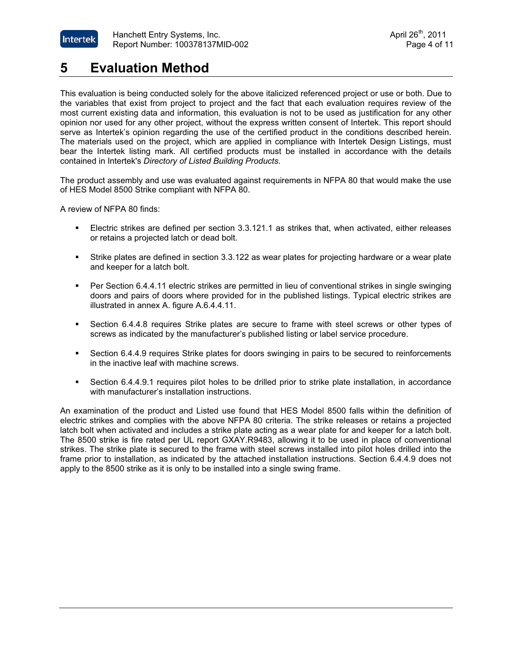

## **5 Evaluation Method**

This evaluation is being conducted solely for the above italicized referenced project or use or both. Due to the variables that exist from project to project and the fact that each evaluation requires review of the most current existing data and information, this evaluation is not to be used as justification for any other opinion nor used for any other project, without the express written consent of Intertek. This report should serve as Intertek's opinion regarding the use of the certified product in the conditions described herein. The materials used on the project, which are applied in compliance with Intertek Design Listings, must bear the Intertek listing mark. All certified products must be installed in accordance with the details contained in Intertek's *Directory of Listed Building Products*.

The product assembly and use was evaluated against requirements in NFPA 80 that would make the use of HES Model 8500 Strike compliant with NFPA 80.

A review of NFPA 80 finds:

- - Electric strikes are defined per section 3.3.121.1 as strikes that, when activated, either releases or retains a projected latch or dead bolt.
- - Strike plates are defined in section 3.3.122 as wear plates for projecting hardware or a wear plate and keeper for a latch bolt.
- Per Section 6.4.4.11 electric strikes are permitted in lieu of conventional strikes in single swinging doors and pairs of doors where provided for in the published listings. Typical electric strikes are illustrated in annex A. figure A.6.4.4.11.
- - Section 6.4.4.8 requires Strike plates are secure to frame with steel screws or other types of screws as indicated by the manufacturer's published listing or label service procedure.
- - Section 6.4.4.9 requires Strike plates for doors swinging in pairs to be secured to reinforcements in the inactive leaf with machine screws.
- - Section 6.4.4.9.1 requires pilot holes to be drilled prior to strike plate installation, in accordance with manufacturer's installation instructions.

An examination of the product and Listed use found that HES Model 8500 falls within the definition of electric strikes and complies with the above NFPA 80 criteria. The strike releases or retains a projected latch bolt when activated and includes a strike plate acting as a wear plate for and keeper for a latch bolt. The 8500 strike is fire rated per UL report GXAY.R9483, allowing it to be used in place of conventional strikes. The strike plate is secured to the frame with steel screws installed into pilot holes drilled into the frame prior to installation, as indicated by the attached installation instructions. Section 6.4.4.9 does not apply to the 8500 strike as it is only to be installed into a single swing frame.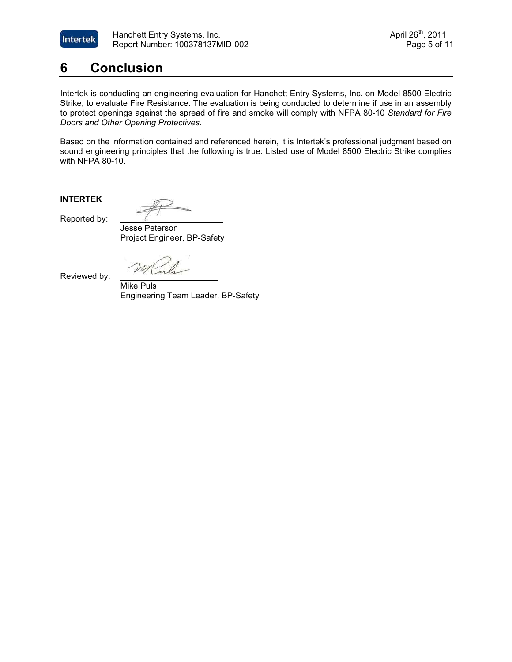

## **6 Conclusion**

Intertek is conducting an engineering evaluation for Hanchett Entry Systems, Inc. on Model 8500 Electric Strike, to evaluate Fire Resistance. The evaluation is being conducted to determine if use in an assembly to protect openings against the spread of fire and smoke will comply with NFPA 80-10 *Standard for Fire Doors and Other Opening Protectives*.

Based on the information contained and referenced herein, it is Intertek's professional judgment based on sound engineering principles that the following is true: Listed use of Model 8500 Electric Strike complies with NFPA 80-10.

**INTERTEK** 

Reported by: **\_\_\_\_\_\_\_\_\_\_\_\_\_\_\_\_\_\_\_\_\_\_**

 Jesse Peterson Project Engineer, BP-Safety

Reviewed by: **\_\_\_\_\_\_\_\_\_\_\_\_\_\_\_\_\_\_\_\_\_**

 Mike Puls Engineering Team Leader, BP-Safety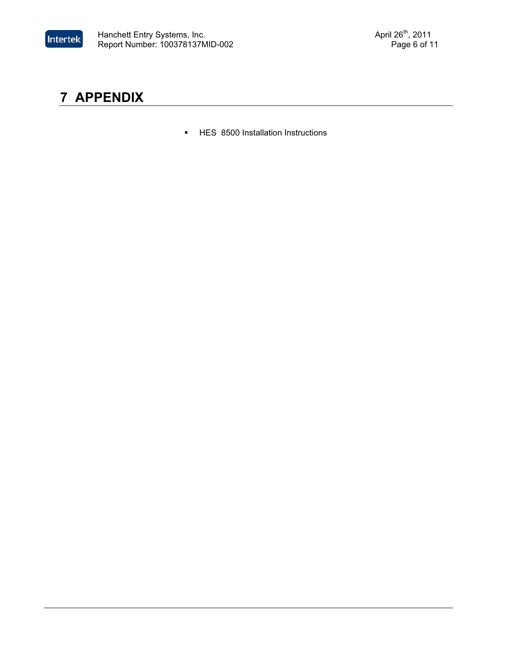

# **7 APPENDIX**

**-** HES 8500 Installation Instructions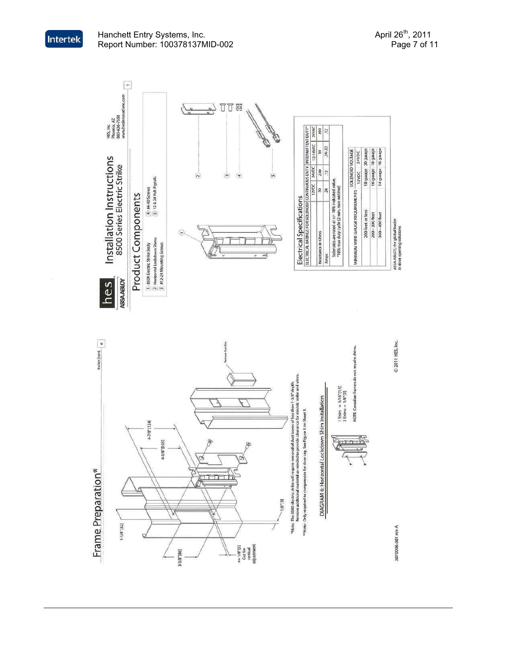

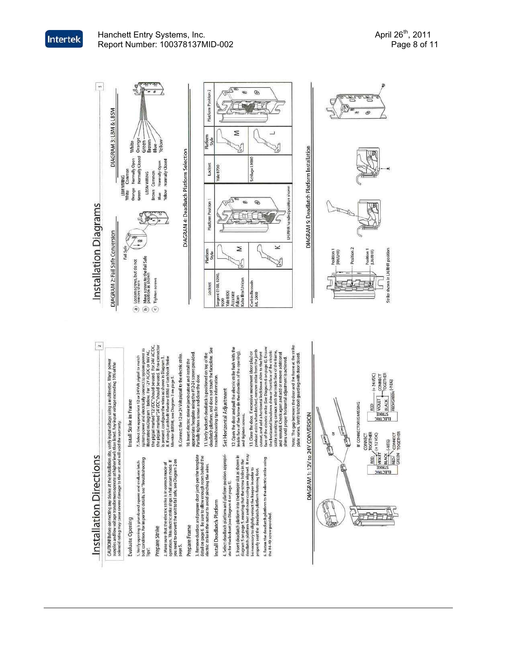

Tips".

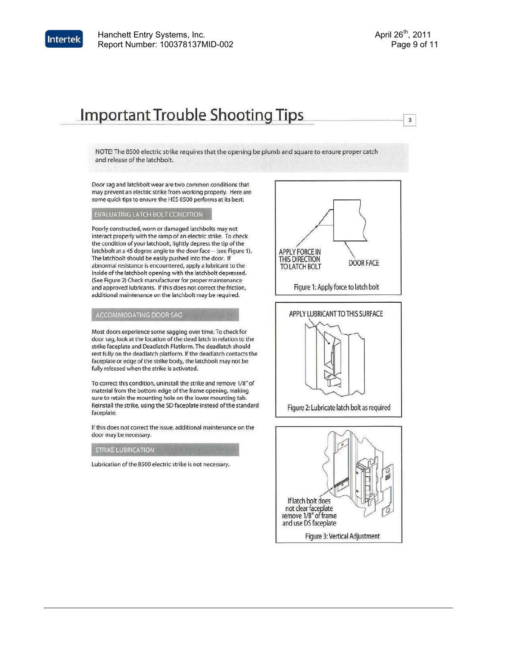

 $\overline{\mathbf{3}}$ 

# **Important Trouble Shooting Tips**

NOTE! The 8500 electric strike requires that the opening be plumb and square to ensure proper catch and release of the latchbolt.

Door sag and latchbolt wear are two common conditions that may prevent an electric strike from working properly. Here are some quick tips to ensure the HES 8500 performs at its best:

#### EVALUATING LATCH BOLT CONDITION

Poorly constructed, worn or damaged latchbolts may not interact properly with the ramp of an electric strike. To check the condition of your latchbolt, lightly depress the tip of the latchbolt at a 45 degree angle to the door face -- (see Figure 1). The latchbolt should be easily pushed into the door. If abnormal resistance is encountered, apply a lubricant to the inside of the latchbolt opening with the latchbolt depressed. (See Figure 2) Check manufacturer for proper maintenance and approved lubricants. If this does not correct the friction, additional maintenance on the latchbolt may be required.

#### ACCOMMODATING DOOR SAG

Most doors experience some sagging over time. To check for door sag, look at the location of the dead latch in relation to the strike faceplate and Deadlatch Platform. The deadlatch should rest fully on the deadlatch platform. If the deadlatch contacts the faceplate or edge of the strike body, the latchbolt may not be fully released when the strike is activated.

To correct this condition, uninstall the strike and remove 1/8" of material from the bottom edge of the frame opening, making sure to retain the mounting hole on the lower mounting tab. Reinstall the strike, using the SD faceplate instead of the standard faceplate.

If this does not correct the issue, additional maintenance on the door may be necessary.

#### **STRIKE LUBRICATION**

Lubrication of the 8500 electric strike is not necessary.



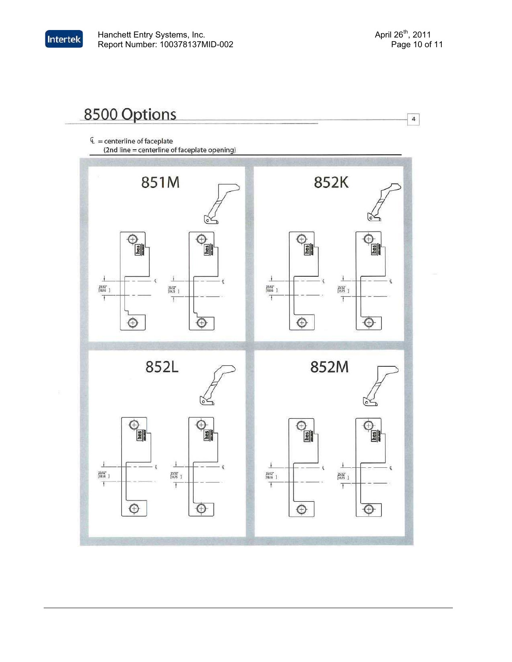$\overline{4}$ 

# 8500 Options

Intertek

 $E =$  centerline of faceplate (2nd line = centerline of faceplate opening)